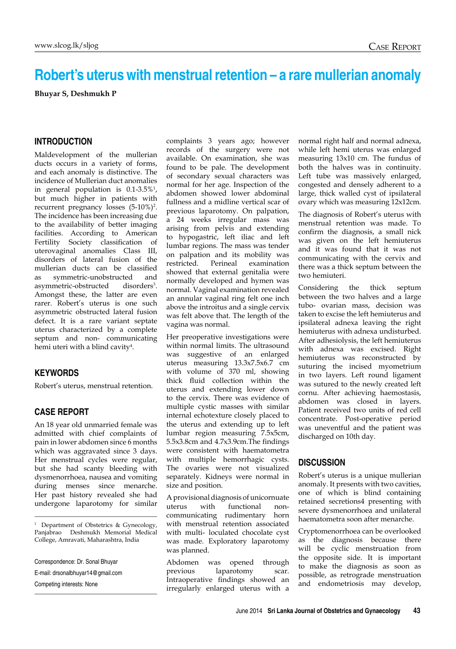# **Robert's uterus with menstrual retention – a rare mullerian anomaly**

**Bhuyar S, Deshmukh P**

## **INTRODUCTION**

Maldevelopment of the mullerian ducts occurs in a variety of forms, and each anomaly is distinctive. The incidence of Mullerian duct anomalies in general population is 0.1-3.5%1 , but much higher in patients with recurrent pregnancy losses (5-10%)<sup>2</sup> . The incidence has been increasing due to the availability of better imaging facilities. According to American Fertility Society classification of uterovaginal anomalies Class III, disorders of lateral fusion of the mullerian ducts can be classified as symmetric-unobstructed and asymmetric-obstructed disorders<sup>3</sup>. Amongst these, the latter are even rarer. Robert's uterus is one such asymmetric obstructed lateral fusion defect. It is a rare variant septate uterus characterized by a complete septum and non- communicating hemi uteri with a blind cavity<sup>4</sup>.

#### **KEYWORDS**

Robert's uterus, menstrual retention.

## **CASE REPORT**

An 18 year old unmarried female was admitted with chief complaints of pain in lower abdomen since 6 months which was aggravated since 3 days. Her menstrual cycles were regular, but she had scanty bleeding with dysmenorrhoea, nausea and vomiting during menses since menarche. Her past history revealed she had undergone laparotomy for similar

<sup>1</sup> Department of Obstetrics & Gynecology, Panjabrao Deshmukh Memorial Medical College, Amravati, Maharashtra, India

Correspondence: Dr. Sonal Bhuyar

E-mail: drsonalbhuyar14@gmail.com

Competing interests: None

complaints 3 years ago; however records of the surgery were not available. On examination, she was found to be pale. The development of secondary sexual characters was normal for her age. Inspection of the abdomen showed lower abdominal fullness and a midline vertical scar of previous laparotomy. On palpation, a 24 weeks irregular mass was arising from pelvis and extending to hypogastric, left iliac and left lumbar regions. The mass was tender on palpation and its mobility was restricted. Perineal examination showed that external genitalia were normally developed and hymen was normal. Vaginal examination revealed an annular vaginal ring felt one inch above the introitus and a single cervix was felt above that. The length of the vagina was normal.

Her preoperative investigations were within normal limits. The ultrasound was suggestive of an enlarged uterus measuring 13.3x7.5x6.7 cm with volume of 370 ml, showing thick fluid collection within the uterus and extending lower down to the cervix. There was evidence of multiple cystic masses with similar internal echotexture closely placed to the uterus and extending up to left lumbar region measuring 7.5x5cm, 5.5x3.8cm and 4.7x3.9cm.The findings were consistent with haematometra with multiple hemorrhagic cysts. The ovaries were not visualized separately. Kidneys were normal in size and position.

A provisional diagnosis of unicornuate uterus with functional noncommunicating rudimentary horn with menstrual retention associated with multi- loculated chocolate cyst was made. Exploratory laparotomy was planned.

Abdomen was opened through previous laparotomy scar. Intraoperative findings showed an irregularly enlarged uterus with a

normal right half and normal adnexa, while left hemi uterus was enlarged measuring 13x10 cm. The fundus of both the halves was in continuity. Left tube was massively enlarged, congested and densely adherent to a large, thick walled cyst of ipsilateral ovary which was measuring 12x12cm.

The diagnosis of Robert's uterus with menstrual retention was made. To confirm the diagnosis, a small nick was given on the left hemiuterus and it was found that it was not communicating with the cervix and there was a thick septum between the two hemiuteri.

Considering the thick septum between the two halves and a large tubo- ovarian mass, decision was taken to excise the left hemiuterus and ipsilateral adnexa leaving the right hemiuterus with adnexa undisturbed. After adhesiolysis, the left hemiuterus with adnexa was excised. Right hemiuterus was reconstructed by suturing the incised myometrium in two layers. Left round ligament was sutured to the newly created left cornu. After achieving haemostasis, abdomen was closed in layers. Patient received two units of red cell concentrate. Post-operative period was uneventful and the patient was discharged on 10th day.

### **DISCUSSION**

Robert's uterus is a unique mullerian anomaly. It presents with two cavities, one of which is blind containing retained secretions4 presenting with severe dysmenorrhoea and unilateral haematometra soon after menarche.

Cryptomenorrhoea can be overlooked as the diagnosis because there will be cyclic menstruation from the opposite side. It is important to make the diagnosis as soon as possible, as retrograde menstruation and endometriosis may develop,